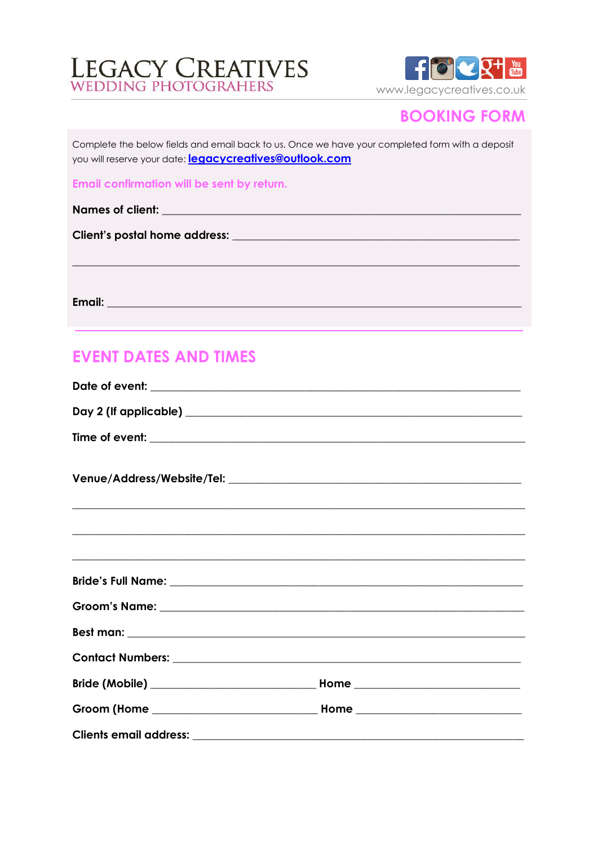# LEGACY CREATIVES



## **BOOKING FORM**

Complete the below fields and email back to us. Once we have your completed form with a deposit you will reserve your date: legacycreatives@outlook.com

Email confirmation will be sent by return.

**Email:** Email: The Company of the Company of the Company of the Company of the Company of the Company of the Company of the Company of the Company of the Company of the Company of the Company of the Company of the Company

# **EVENT DATES AND TIMES**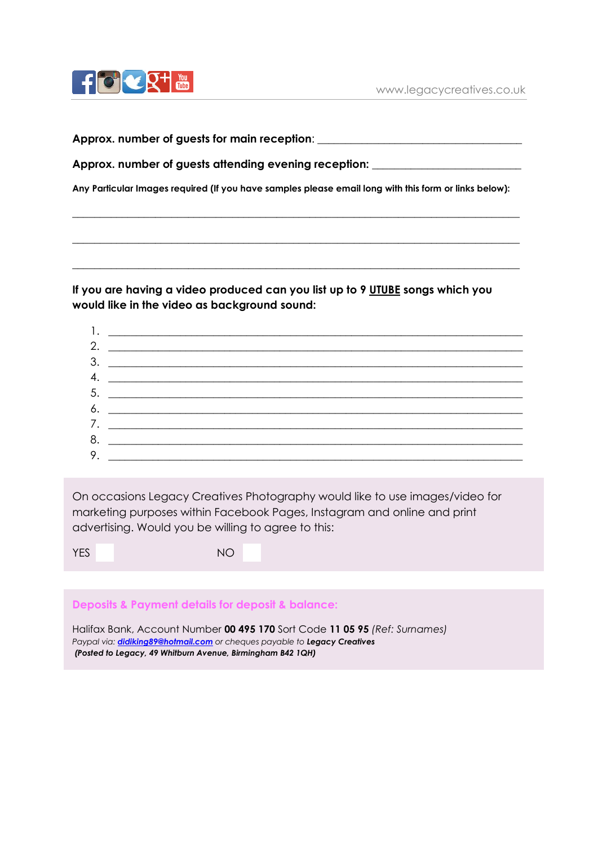

**Approx. number of guests for main reception**: \_\_\_\_\_\_\_\_\_\_\_\_\_\_\_\_\_\_\_\_\_\_\_\_\_\_\_\_\_\_\_\_\_\_\_\_\_

**Approx. number of guests attending evening reception:** \_\_\_\_\_\_\_\_\_\_\_\_\_\_\_\_\_\_\_\_\_\_\_\_\_\_\_

**Any Particular Images required (If you have samples please email long with this form or links below):**

**\_\_\_\_\_\_\_\_\_\_\_\_\_\_\_\_\_\_\_\_\_\_\_\_\_\_\_\_\_\_\_\_\_\_\_\_\_\_\_\_\_\_\_\_\_\_\_\_\_\_\_\_\_\_\_\_\_\_\_\_\_\_\_\_\_\_\_\_\_\_\_\_\_\_\_\_\_\_\_\_\_**

**\_\_\_\_\_\_\_\_\_\_\_\_\_\_\_\_\_\_\_\_\_\_\_\_\_\_\_\_\_\_\_\_\_\_\_\_\_\_\_\_\_\_\_\_\_\_\_\_\_\_\_\_\_\_\_\_\_\_\_\_\_\_\_\_\_\_\_\_\_\_\_\_\_\_\_\_\_\_\_\_\_**

**\_\_\_\_\_\_\_\_\_\_\_\_\_\_\_\_\_\_\_\_\_\_\_\_\_\_\_\_\_\_\_\_\_\_\_\_\_\_\_\_\_\_\_\_\_\_\_\_\_\_\_\_\_\_\_\_\_\_\_\_\_\_\_\_\_\_\_\_\_\_\_\_\_\_\_\_\_\_\_\_\_**

**If you are having a video produced can you list up to 9 UTUBE songs which you would like in the video as background sound:**

| 2. | <u> 2000 - Andrea Andrew Maria (h. 18</u> |
|----|-------------------------------------------|
|    |                                           |
|    | 4. $\qquad \qquad$                        |
|    |                                           |
|    |                                           |
|    |                                           |
|    |                                           |
|    | 9. $\overline{\phantom{a}}$               |
|    |                                           |

On occasions Legacy Creatives Photography would like to use images/video for marketing purposes within Facebook Pages, Instagram and online and print advertising. Would you be willing to agree to this:

| YES |  | <b>NO</b> |
|-----|--|-----------|
|     |  |           |

**Deposits & Payment details for deposit & balance:** 

Halifax Bank, Account Number **00 495 170** Sort Code **11 05 95** *(Ref: Surnames) Paypal via: [didiking89@hotmail.com](mailto:didiking89@hotmail.com) or cheques payable to Legacy Creatives (Posted to Legacy, 49 Whitburn Avenue, Birmingham B42 1QH)*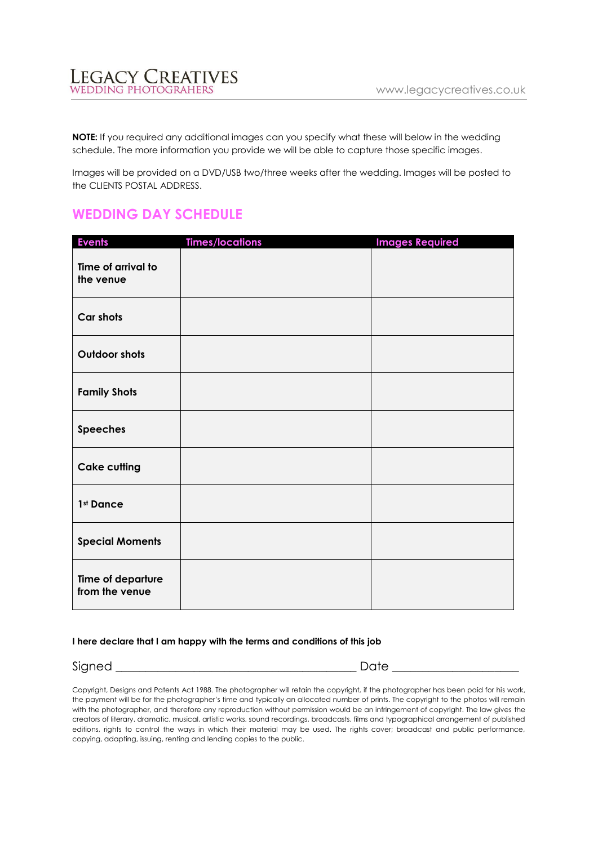LEGACY CREATIVES

**NOTE:** If you required any additional images can you specify what these will below in the wedding schedule. The more information you provide we will be able to capture those specific images.

Images will be provided on a DVD/USB two/three weeks after the wedding. Images will be posted to the CLIENTS POSTAL ADDRESS.

### **WEDDING DAY SCHEDULE**

| <b>Events</b>                       | <b>Times/locations</b> | <b>Images Required</b> |
|-------------------------------------|------------------------|------------------------|
| Time of arrival to<br>the venue     |                        |                        |
| Car shots                           |                        |                        |
| <b>Outdoor shots</b>                |                        |                        |
| <b>Family Shots</b>                 |                        |                        |
| <b>Speeches</b>                     |                        |                        |
| <b>Cake cutting</b>                 |                        |                        |
| 1st Dance                           |                        |                        |
| <b>Special Moments</b>              |                        |                        |
| Time of departure<br>from the venue |                        |                        |

#### **I here declare that I am happy with the terms and conditions of this job**

Signed \_\_\_\_\_\_\_\_\_\_\_\_\_\_\_\_\_\_\_\_\_\_\_\_\_\_\_\_\_\_\_\_\_\_\_\_\_\_\_\_ Date \_\_\_\_\_\_\_\_\_\_\_\_\_\_\_\_\_\_\_\_\_

Copyright, Designs and Patents Act 1988. The photographer will retain the copyright, if the photographer has been paid for his work, the payment will be for the photographer's time and typically an allocated number of prints. The copyright to the photos will remain with the photographer, and therefore any reproduction without permission would be an infringement of copyright. The law gives the creators of literary, dramatic, musical, artistic works, sound recordings, broadcasts, films and typographical arrangement of published editions, rights to control the ways in which their material may be used. The rights cover; broadcast and public performance, copying, adapting, issuing, renting and lending copies to the public.